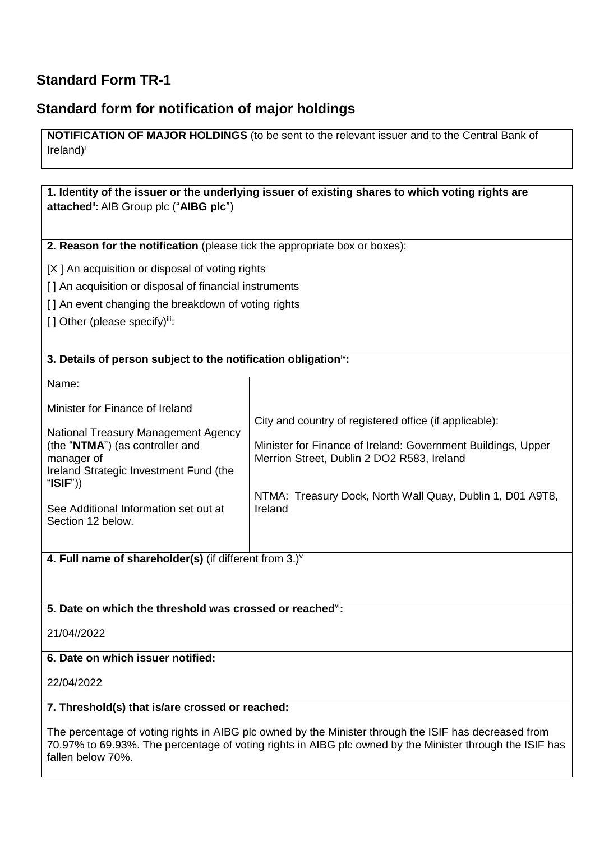## **Standard Form TR-1**

## **Standard form for notification of major holdings**

**NOTIFICATION OF MAJOR HOLDINGS** (to be sent to the relevant issuer and to the Central Bank of Ireland)<sup>i</sup>

**1. Identity of the issuer or the underlying issuer of existing shares to which voting rights are attached**ii**:** AIB Group plc ("**AIBG plc**") **2. Reason for the notification** (please tick the appropriate box or boxes): [X ] An acquisition or disposal of voting rights [] An acquisition or disposal of financial instruments [] An event changing the breakdown of voting rights [] Other (please specify)iii: **3. Details of person subject to the notification obligation**iv**:** Name: Minister for Finance of Ireland National Treasury Management Agency (the "**NTMA**") (as controller and manager of Ireland Strategic Investment Fund (the "**ISIF**")) See Additional Information set out at Section 12 below. City and country of registered office (if applicable): Minister for Finance of Ireland: Government Buildings, Upper Merrion Street, Dublin 2 DO2 R583, Ireland NTMA: Treasury Dock, North Wall Quay, Dublin 1, D01 A9T8, Ireland

**4. Full name of shareholder(s)** (if different from 3.)<sup>v</sup>

#### **5. Date on which the threshold was crossed or reached**vi**:**

21/04//2022

#### **6. Date on which issuer notified:**

22/04/2022

#### **7. Threshold(s) that is/are crossed or reached:**

The percentage of voting rights in AIBG plc owned by the Minister through the ISIF has decreased from 70.97% to 69.93%. The percentage of voting rights in AIBG plc owned by the Minister through the ISIF has fallen below 70%.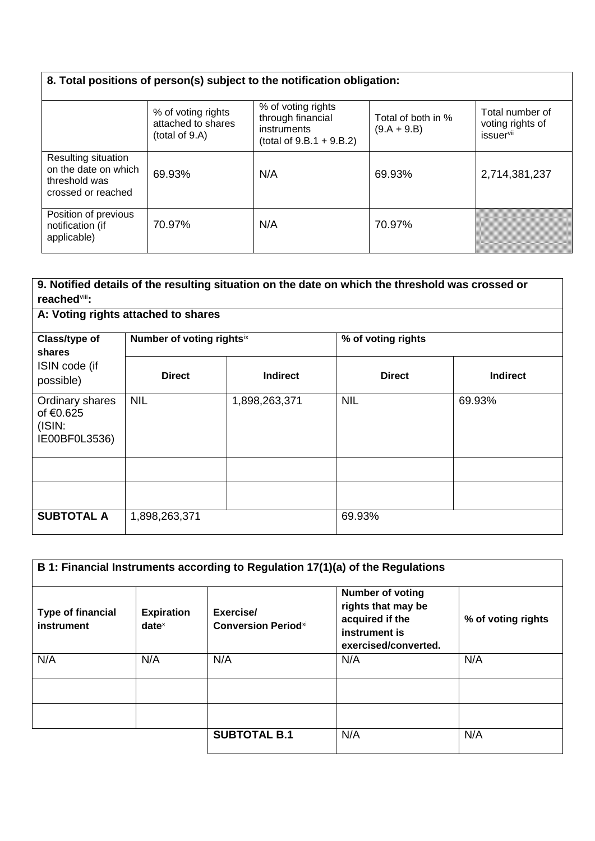# **8. Total positions of person(s) subject to the notification obligation:**

|                                                                                    | % of voting rights<br>attached to shares<br>(total of 9.A) | % of voting rights<br>through financial<br>instruments<br>(total of $9.B.1 + 9.B.2$ ) | Total of both in %<br>$(9.A + 9.B)$ | Total number of<br>voting rights of<br><i>issuervii</i> |
|------------------------------------------------------------------------------------|------------------------------------------------------------|---------------------------------------------------------------------------------------|-------------------------------------|---------------------------------------------------------|
| Resulting situation<br>on the date on which<br>threshold was<br>crossed or reached | 69.93%                                                     | N/A                                                                                   | 69.93%                              | 2,714,381,237                                           |
| Position of previous<br>notification (if<br>applicable)                            | 70.97%                                                     | N/A                                                                                   | 70.97%                              |                                                         |

| 9. Notified details of the resulting situation on the date on which the threshold was crossed or<br>reached <sup>viii</sup> : |                           |                 |                    |                 |  |
|-------------------------------------------------------------------------------------------------------------------------------|---------------------------|-----------------|--------------------|-----------------|--|
| A: Voting rights attached to shares                                                                                           |                           |                 |                    |                 |  |
| Class/type of<br><b>shares</b><br>ISIN code (if<br>possible)                                                                  | Number of voting rightsix |                 | % of voting rights |                 |  |
|                                                                                                                               | <b>Direct</b>             | <b>Indirect</b> | <b>Direct</b>      | <b>Indirect</b> |  |
| Ordinary shares<br>of €0.625<br>(ISIN)<br>IE00BF0L3536)                                                                       | <b>NIL</b>                | 1,898,263,371   | <b>NIL</b>         | 69.93%          |  |
|                                                                                                                               |                           |                 |                    |                 |  |
|                                                                                                                               |                           |                 |                    |                 |  |
| <b>SUBTOTAL A</b>                                                                                                             | 1,898,263,371             |                 | 69.93%             |                 |  |

| B 1: Financial Instruments according to Regulation 17(1)(a) of the Regulations |                               |                                         |                                                                                                           |                    |
|--------------------------------------------------------------------------------|-------------------------------|-----------------------------------------|-----------------------------------------------------------------------------------------------------------|--------------------|
| <b>Type of financial</b><br>instrument                                         | <b>Expiration</b><br>$date^x$ | Exercise/<br><b>Conversion Periodxi</b> | <b>Number of voting</b><br>rights that may be<br>acquired if the<br>instrument is<br>exercised/converted. | % of voting rights |
| N/A                                                                            | N/A                           | N/A                                     | N/A                                                                                                       | N/A                |
|                                                                                |                               |                                         |                                                                                                           |                    |
|                                                                                |                               |                                         |                                                                                                           |                    |
|                                                                                |                               | <b>SUBTOTAL B.1</b>                     | N/A                                                                                                       | N/A                |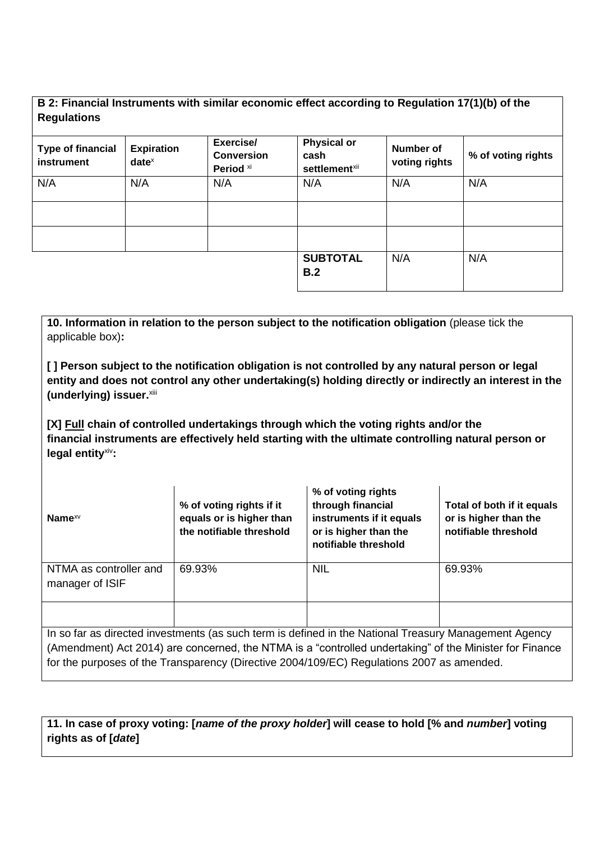### **B 2: Financial Instruments with similar economic effect according to Regulation 17(1)(b) of the Regulations**

| <b>Type of financial</b><br>instrument | <b>Expiration</b><br>$date^x$ | Exercise/<br><b>Conversion</b><br>Period xi | <b>Physical or</b><br>cash<br>settlement <sup>xii</sup> | Number of<br>voting rights | % of voting rights |
|----------------------------------------|-------------------------------|---------------------------------------------|---------------------------------------------------------|----------------------------|--------------------|
| N/A                                    | N/A                           | N/A                                         | N/A                                                     | N/A                        | N/A                |
|                                        |                               |                                             | <b>SUBTOTAL</b><br>B.2                                  | N/A                        | N/A                |

**10. Information in relation to the person subject to the notification obligation** (please tick the applicable box)**:**

**[ ] Person subject to the notification obligation is not controlled by any natural person or legal entity and does not control any other undertaking(s) holding directly or indirectly an interest in the**  (underlying) issuer.xiii

**[X] Full chain of controlled undertakings through which the voting rights and/or the financial instruments are effectively held starting with the ultimate controlling natural person or legal entity**xiv**:**

| Name $x_V$                                | % of voting rights if it<br>equals or is higher than<br>the notifiable threshold                               | % of voting rights<br>through financial<br>instruments if it equals<br>or is higher than the<br>notifiable threshold | Total of both if it equals<br>or is higher than the<br>notifiable threshold |
|-------------------------------------------|----------------------------------------------------------------------------------------------------------------|----------------------------------------------------------------------------------------------------------------------|-----------------------------------------------------------------------------|
| NTMA as controller and<br>manager of ISIF | 69.93%                                                                                                         | <b>NIL</b>                                                                                                           | 69.93%                                                                      |
|                                           | the section of diversity in contractive and the section in defined in the Maticast Tuesday Mensengeral America |                                                                                                                      |                                                                             |

In so far as directed investments (as such term is defined in the National Treasury Management Agency (Amendment) Act 2014) are concerned, the NTMA is a "controlled undertaking" of the Minister for Finance for the purposes of the Transparency (Directive 2004/109/EC) Regulations 2007 as amended.

**11. In case of proxy voting: [***name of the proxy holder***] will cease to hold [% and** *number***] voting rights as of [***date***]**